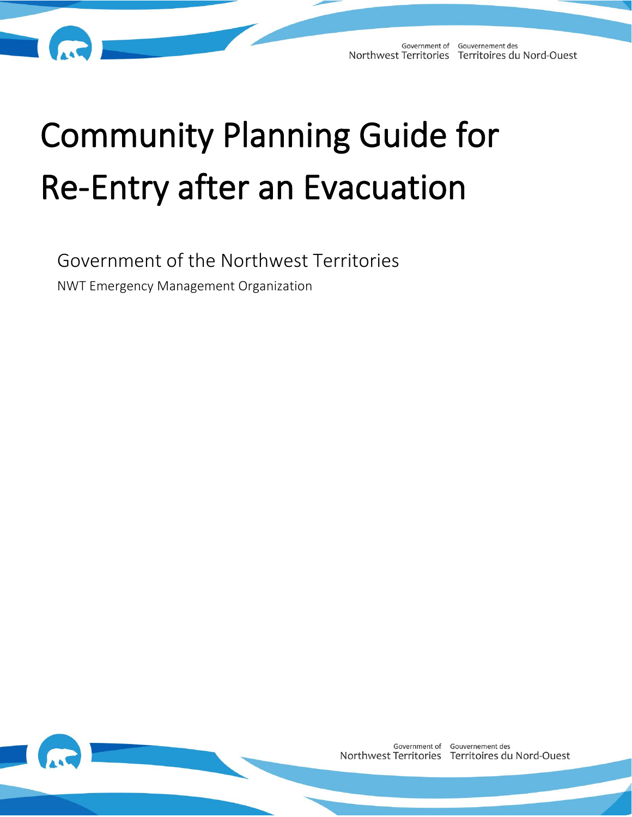# Community Planning Guide for Re-Entry after an Evacuation

Government of the Northwest Territories NWT Emergency Management Organization

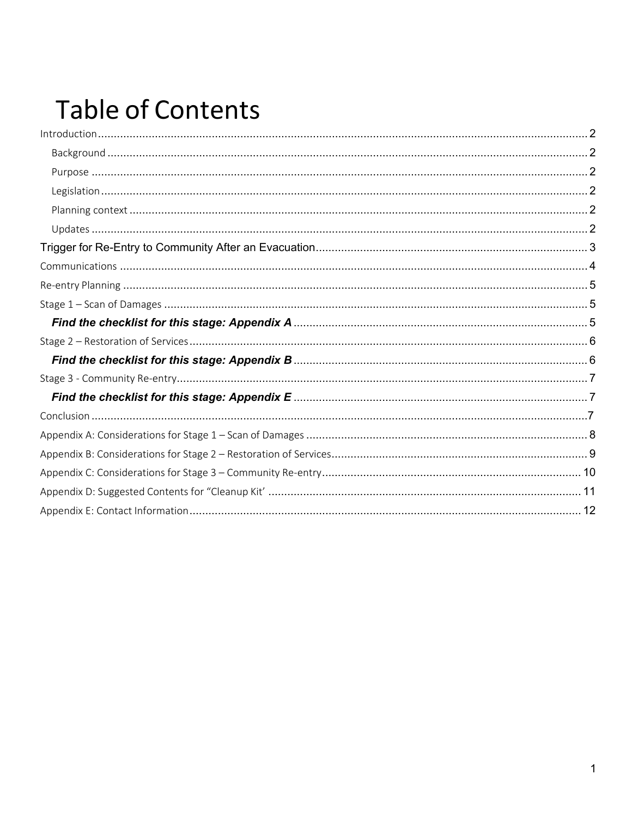## **Table of Contents**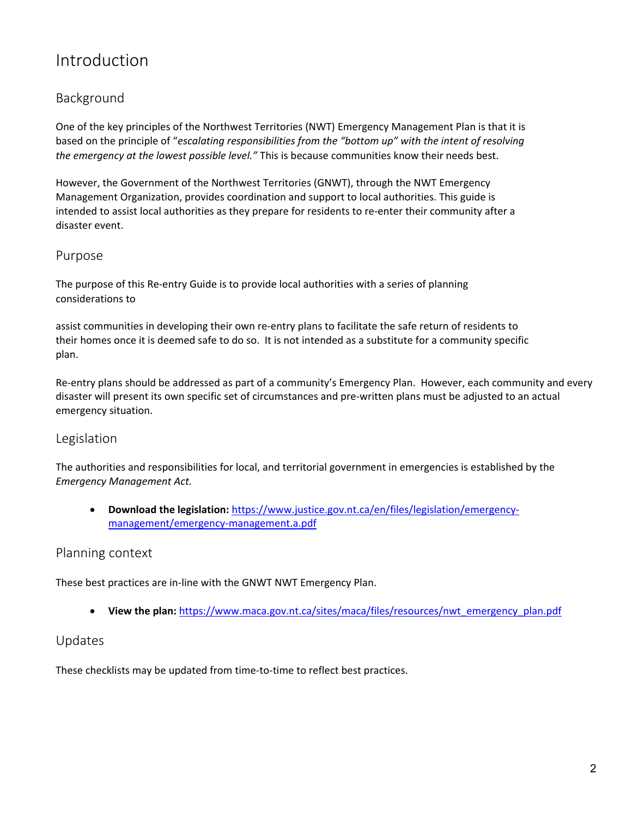## <span id="page-2-0"></span>Introduction

#### <span id="page-2-1"></span>Background

One of the key principles of the Northwest Territories (NWT) Emergency Management Plan is that it is based on the principle of "*escalating responsibilities from the "bottom up" with the intent of resolving the emergency at the lowest possible level."* This is because communities know their needs best.

However, the Government of the Northwest Territories (GNWT), through the NWT Emergency Management Organization, provides coordination and support to local authorities. This guide is intended to assist local authorities as they prepare for residents to re-enter their community after a disaster event.

#### <span id="page-2-2"></span>Purpose

The purpose of this Re-entry Guide is to provide local authorities with a series of planning considerations to

assist communities in developing their own re-entry plans to facilitate the safe return of residents to their homes once it is deemed safe to do so. It is not intended as a substitute for a community specific plan.

Re-entry plans should be addressed as part of a community's Emergency Plan. However, each community and every disaster will present its own specific set of circumstances and pre-written plans must be adjusted to an actual emergency situation.

#### <span id="page-2-3"></span>Legislation

The authorities and responsibilities for local, and territorial government in emergencies is established by the *Emergency Management Act.* 

• **Download the legislation:** [https://www.justice.gov.nt.ca/en/files/legislation/emergency](https://www.justice.gov.nt.ca/en/files/legislation/emergency-management/emergency-management.a.pdf)[management/emergency-management.a.pdf](https://www.justice.gov.nt.ca/en/files/legislation/emergency-management/emergency-management.a.pdf)

#### <span id="page-2-4"></span>Planning context

These best practices are in-line with the GNWT NWT Emergency Plan.

• **View the plan:** [https://www.maca.gov.nt.ca/sites/maca/files/resources/nwt\\_emergency\\_plan.pdf](https://www.maca.gov.nt.ca/sites/maca/files/resources/nwt_emergency_plan.pdf)

#### <span id="page-2-5"></span>Updates

These checklists may be updated from time-to-time to reflect best practices.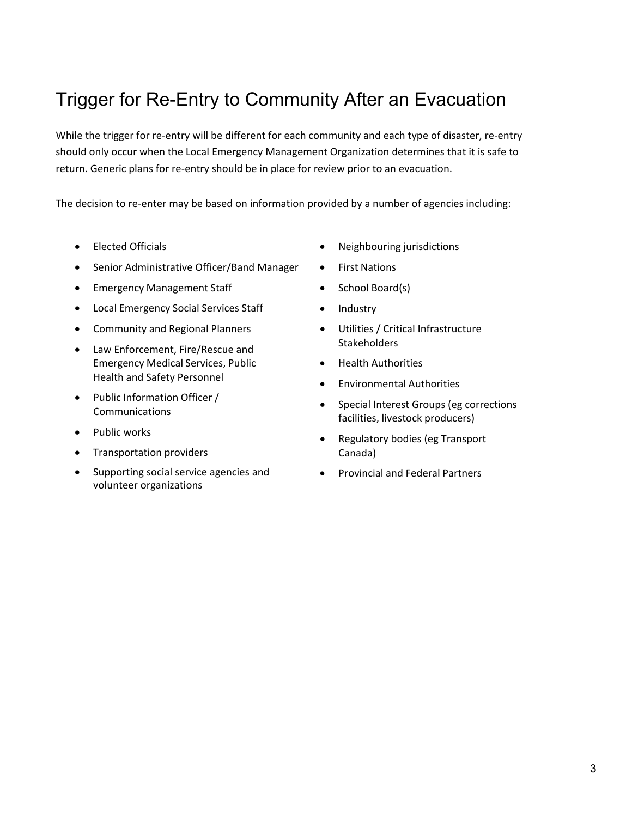## <span id="page-3-0"></span>Trigger for Re-Entry to Community After an Evacuation

While the trigger for re-entry will be different for each community and each type of disaster, re-entry should only occur when the Local Emergency Management Organization determines that it is safe to return. Generic plans for re-entry should be in place for review prior to an evacuation.

The decision to re-enter may be based on information provided by a number of agencies including:

- Elected Officials
- Senior Administrative Officer/Band Manager
- Emergency Management Staff
- Local Emergency Social Services Staff
- Community and Regional Planners
- Law Enforcement, Fire/Rescue and Emergency Medical Services, Public Health and Safety Personnel
- Public Information Officer / Communications
- Public works
- Transportation providers
- Supporting social service agencies and volunteer organizations
- Neighbouring jurisdictions
- First Nations
- School Board(s)
- Industry
- Utilities / Critical Infrastructure **Stakeholders**
- Health Authorities
- Environmental Authorities
- Special Interest Groups (eg corrections facilities, livestock producers)
- Regulatory bodies (eg Transport Canada)
- Provincial and Federal Partners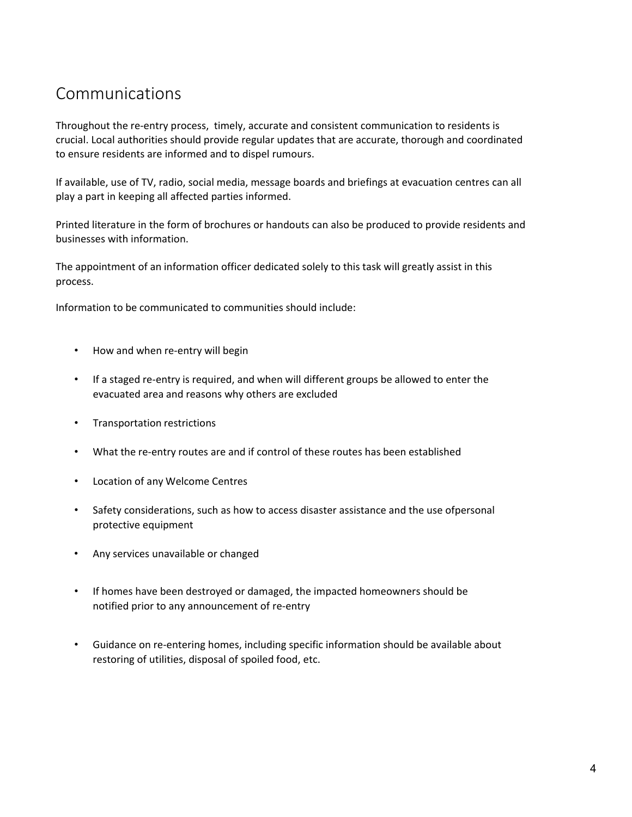## <span id="page-4-0"></span>Communications

Throughout the re-entry process, timely, accurate and consistent communication to residents is crucial. Local authorities should provide regular updates that are accurate, thorough and coordinated to ensure residents are informed and to dispel rumours.

If available, use of TV, radio, social media, message boards and briefings at evacuation centres can all play a part in keeping all affected parties informed.

Printed literature in the form of brochures or handouts can also be produced to provide residents and businesses with information.

The appointment of an information officer dedicated solely to this task will greatly assist in this process.

Information to be communicated to communities should include:

- How and when re-entry will begin
- If a staged re-entry is required, and when will different groups be allowed to enter the evacuated area and reasons why others are excluded
- Transportation restrictions
- What the re-entry routes are and if control of these routes has been established
- Location of any Welcome Centres
- Safety considerations, such as how to access disaster assistance and the use ofpersonal protective equipment
- Any services unavailable or changed
- If homes have been destroyed or damaged, the impacted homeowners should be notified prior to any announcement of re-entry
- Guidance on re-entering homes, including specific information should be available about restoring of utilities, disposal of spoiled food, etc.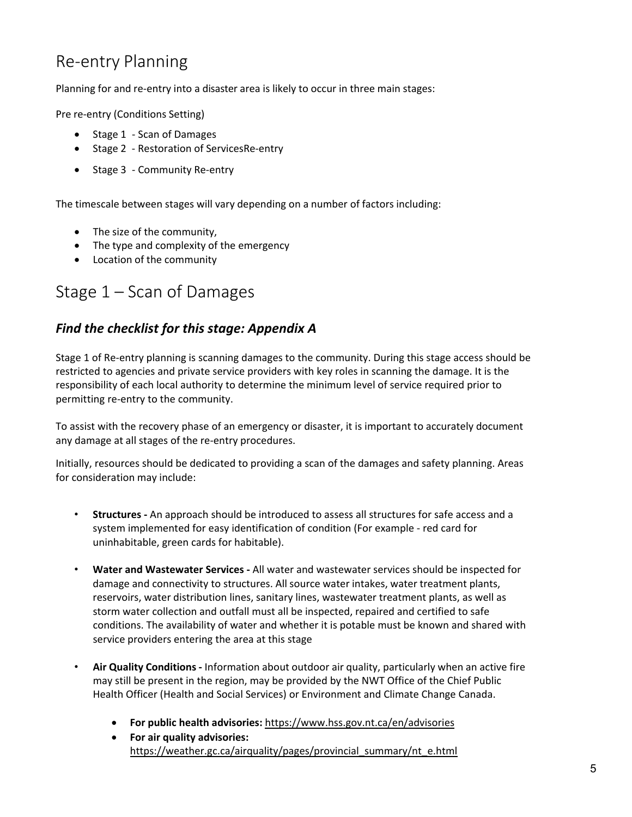## <span id="page-5-0"></span>Re-entry Planning

Planning for and re-entry into a disaster area is likely to occur in three main stages:

Pre re-entry (Conditions Setting)

- Stage 1 Scan of Damages
- Stage 2 Restoration of ServicesRe-entry
- Stage 3 Community Re-entry

The timescale between stages will vary depending on a number of factors including:

- The size of the community,
- The type and complexity of the emergency
- Location of the community

### <span id="page-5-1"></span>Stage 1 – Scan of Damages

#### <span id="page-5-2"></span>*Find the checklist for this stage: Appendix A*

Stage 1 of Re-entry planning is scanning damages to the community. During this stage access should be restricted to agencies and private service providers with key roles in scanning the damage. It is the responsibility of each local authority to determine the minimum level of service required prior to permitting re-entry to the community.

To assist with the recovery phase of an emergency or disaster, it is important to accurately document any damage at all stages of the re-entry procedures.

Initially, resources should be dedicated to providing a scan of the damages and safety planning. Areas for consideration may include:

- **Structures -** An approach should be introduced to assess all structures for safe access and a system implemented for easy identification of condition (For example - red card for uninhabitable, green cards for habitable).
- **Water and Wastewater Services -** All water and wastewater services should be inspected for damage and connectivity to structures. All source water intakes, water treatment plants, reservoirs, water distribution lines, sanitary lines, wastewater treatment plants, as well as storm water collection and outfall must all be inspected, repaired and certified to safe conditions. The availability of water and whether it is potable must be known and shared with service providers entering the area at this stage
- **Air Quality Conditions -** Information about outdoor air quality, particularly when an active fire may still be present in the region, may be provided by the NWT Office of the Chief Public Health Officer (Health and Social Services) or Environment and Climate Change Canada.
	- **For public health advisories:** <https://www.hss.gov.nt.ca/en/advisories>
	- **For air quality advisories:**  [https://weather.gc.ca/airquality/pages/provincial\\_summary/nt\\_e.html](https://weather.gc.ca/airquality/pages/provincial_summary/nt_e.html)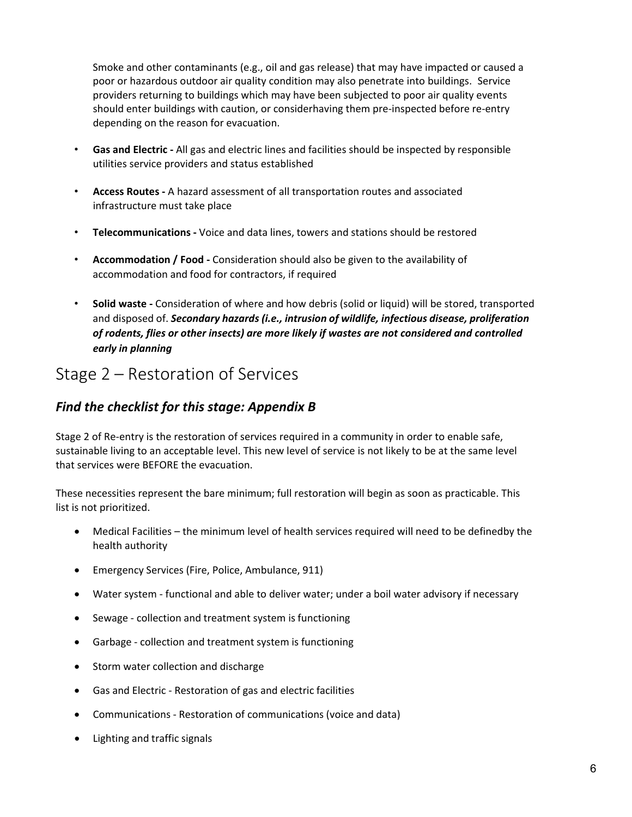Smoke and other contaminants (e.g., oil and gas release) that may have impacted or caused a poor or hazardous outdoor air quality condition may also penetrate into buildings. Service providers returning to buildings which may have been subjected to poor air quality events should enter buildings with caution, or considerhaving them pre-inspected before re-entry depending on the reason for evacuation.

- **Gas and Electric -** All gas and electric lines and facilities should be inspected by responsible utilities service providers and status established
- **Access Routes -** A hazard assessment of all transportation routes and associated infrastructure must take place
- **Telecommunications -** Voice and data lines, towers and stations should be restored
- **Accommodation / Food -** Consideration should also be given to the availability of accommodation and food for contractors, if required
- **Solid waste -** Consideration of where and how debris (solid or liquid) will be stored, transported and disposed of. *Secondary hazards (i.e., intrusion of wildlife, infectious disease, proliferation of rodents, flies or other insects) are more likely if wastes are not considered and controlled early in planning*

## <span id="page-6-0"></span>Stage 2 – Restoration of Services

#### <span id="page-6-1"></span>*Find the checklist for this stage: Appendix B*

Stage 2 of Re-entry is the restoration of services required in a community in order to enable safe, sustainable living to an acceptable level. This new level of service is not likely to be at the same level that services were BEFORE the evacuation.

These necessities represent the bare minimum; full restoration will begin as soon as practicable. This list is not prioritized.

- Medical Facilities the minimum level of health services required will need to be definedby the health authority
- Emergency Services (Fire, Police, Ambulance, 911)
- Water system functional and able to deliver water; under a boil water advisory if necessary
- Sewage collection and treatment system is functioning
- Garbage collection and treatment system is functioning
- Storm water collection and discharge
- Gas and Electric Restoration of gas and electric facilities
- Communications Restoration of communications (voice and data)
- Lighting and traffic signals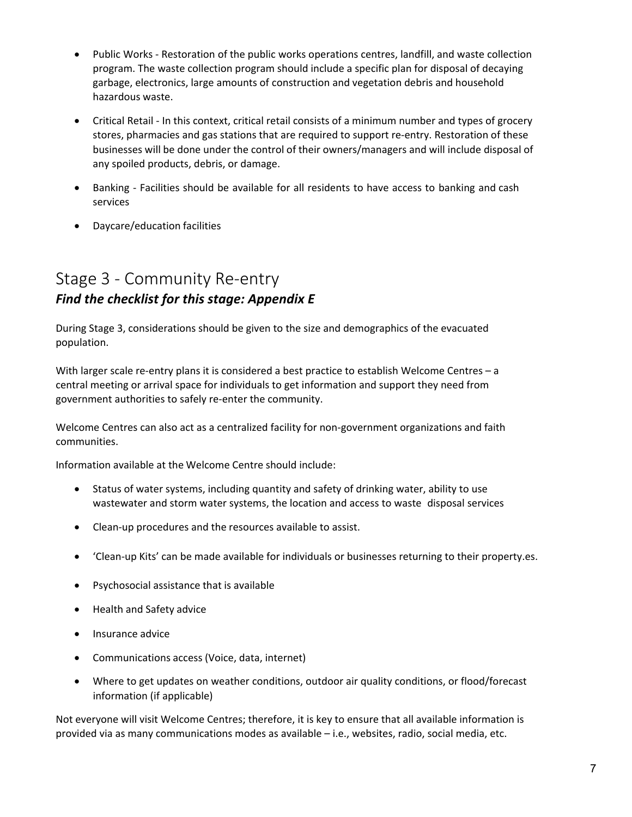- Public Works Restoration of the public works operations centres, landfill, and waste collection program. The waste collection program should include a specific plan for disposal of decaying garbage, electronics, large amounts of construction and vegetation debris and household hazardous waste.
- Critical Retail In this context, critical retail consists of a minimum number and types of grocery stores, pharmacies and gas stations that are required to support re-entry. Restoration of these businesses will be done under the control of their owners/managers and will include disposal of any spoiled products, debris, or damage.
- Banking Facilities should be available for all residents to have access to banking and cash services
- Daycare/education facilities

## <span id="page-7-1"></span><span id="page-7-0"></span>Stage 3 - Community Re-entry *Find the checklist for this stage: Appendix E*

During Stage 3, considerations should be given to the size and demographics of the evacuated population.

With larger scale re-entry plans it is considered a best practice to establish Welcome Centres – a central meeting or arrival space for individuals to get information and support they need from government authorities to safely re-enter the community.

Welcome Centres can also act as a centralized facility for non-government organizations and faith communities.

Information available at the Welcome Centre should include:

- Status of water systems, including quantity and safety of drinking water, ability to use wastewater and storm water systems, the location and access to waste disposal services
- Clean-up procedures and the resources available to assist.
- 'Clean-up Kits' can be made available for individuals or businesses returning to their property.es.
- Psychosocial assistance that is available
- Health and Safety advice
- Insurance advice
- Communications access (Voice, data, internet)
- Where to get updates on weather conditions, outdoor air quality conditions, or flood/forecast information (if applicable)

Not everyone will visit Welcome Centres; therefore, it is key to ensure that all available information is provided via as many communications modes as available – i.e., websites, radio, social media, etc.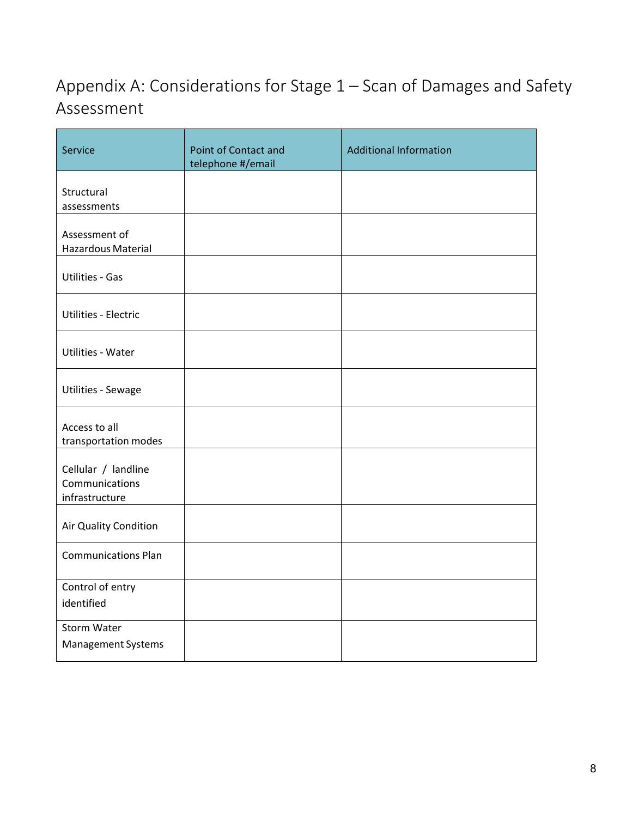## <span id="page-8-0"></span>Appendix A: Considerations for Stage 1 – Scan of Damages and Safety Assessment

| Service                                                 | Point of Contact and<br>telephone #/email | <b>Additional Information</b> |
|---------------------------------------------------------|-------------------------------------------|-------------------------------|
| Structural<br>assessments                               |                                           |                               |
| Assessment of<br>Hazardous Material                     |                                           |                               |
| <b>Utilities - Gas</b>                                  |                                           |                               |
| Utilities - Electric                                    |                                           |                               |
| <b>Utilities - Water</b>                                |                                           |                               |
| Utilities - Sewage                                      |                                           |                               |
| Access to all<br>transportation modes                   |                                           |                               |
| Cellular / landline<br>Communications<br>infrastructure |                                           |                               |
| Air Quality Condition                                   |                                           |                               |
| <b>Communications Plan</b>                              |                                           |                               |
| Control of entry<br>identified                          |                                           |                               |
| Storm Water<br>Management Systems                       |                                           |                               |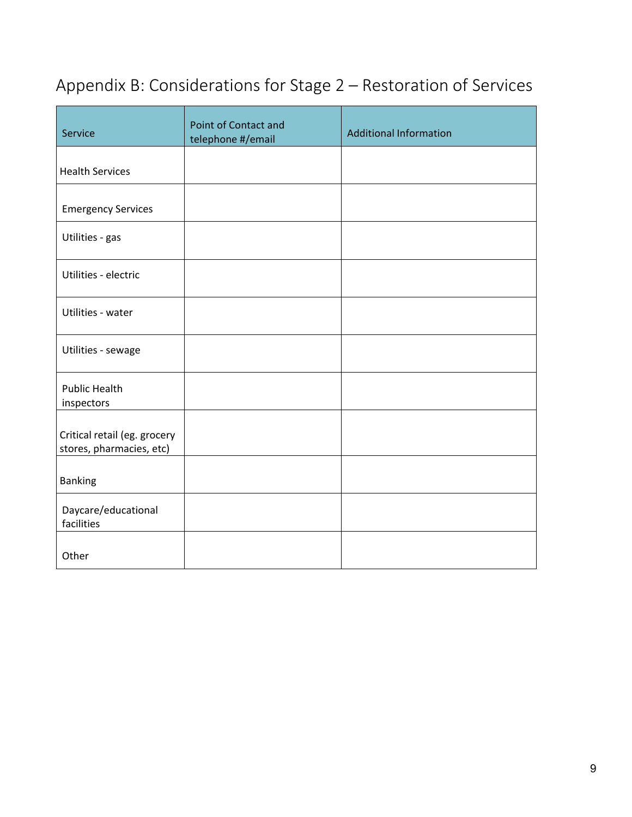## <span id="page-9-0"></span>Appendix B: Considerations for Stage 2 – Restoration of Services

| Service                                                  | Point of Contact and<br>telephone #/email | <b>Additional Information</b> |
|----------------------------------------------------------|-------------------------------------------|-------------------------------|
| <b>Health Services</b>                                   |                                           |                               |
| <b>Emergency Services</b>                                |                                           |                               |
| Utilities - gas                                          |                                           |                               |
| Utilities - electric                                     |                                           |                               |
| Utilities - water                                        |                                           |                               |
| Utilities - sewage                                       |                                           |                               |
| <b>Public Health</b><br>inspectors                       |                                           |                               |
| Critical retail (eg. grocery<br>stores, pharmacies, etc) |                                           |                               |
| <b>Banking</b>                                           |                                           |                               |
| Daycare/educational<br>facilities                        |                                           |                               |
| Other                                                    |                                           |                               |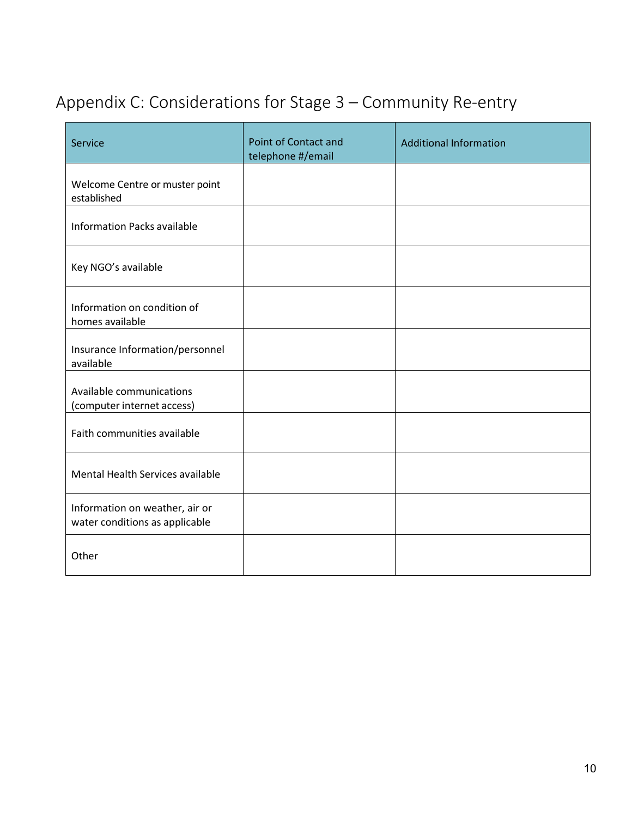## <span id="page-10-0"></span>Appendix C: Considerations for Stage 3 – Community Re-entry

<span id="page-10-1"></span>

| Service                                                          | Point of Contact and<br>telephone #/email | <b>Additional Information</b> |
|------------------------------------------------------------------|-------------------------------------------|-------------------------------|
| Welcome Centre or muster point<br>established                    |                                           |                               |
| <b>Information Packs available</b>                               |                                           |                               |
| Key NGO's available                                              |                                           |                               |
| Information on condition of<br>homes available                   |                                           |                               |
| Insurance Information/personnel<br>available                     |                                           |                               |
| Available communications<br>(computer internet access)           |                                           |                               |
| Faith communities available                                      |                                           |                               |
| Mental Health Services available                                 |                                           |                               |
| Information on weather, air or<br>water conditions as applicable |                                           |                               |
| Other                                                            |                                           |                               |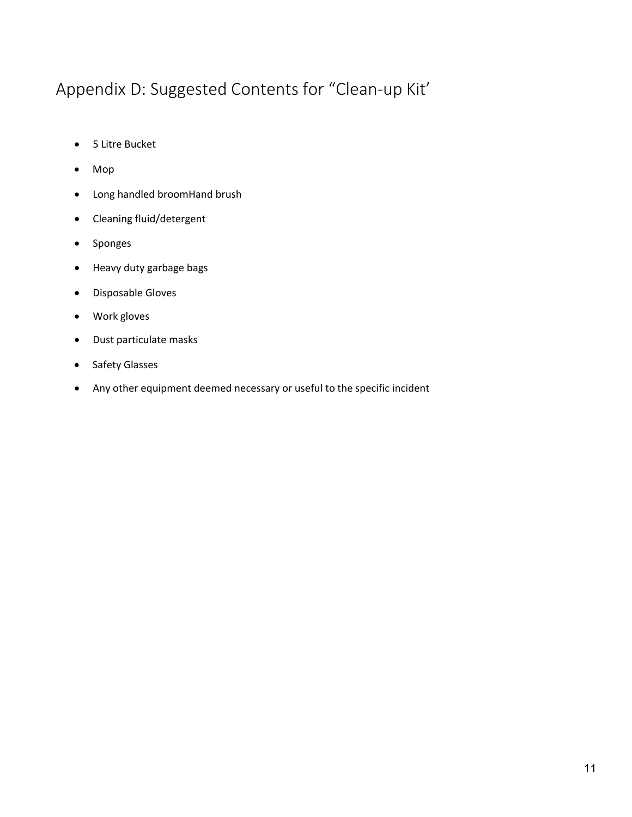## Appendix D: Suggested Contents for "Clean-up Kit'

- 5 Litre Bucket
- Mop
- Long handled broomHand brush
- Cleaning fluid/detergent
- Sponges
- Heavy duty garbage bags
- Disposable Gloves
- Work gloves
- Dust particulate masks
- Safety Glasses
- <span id="page-11-0"></span>• Any other equipment deemed necessary or useful to the specific incident